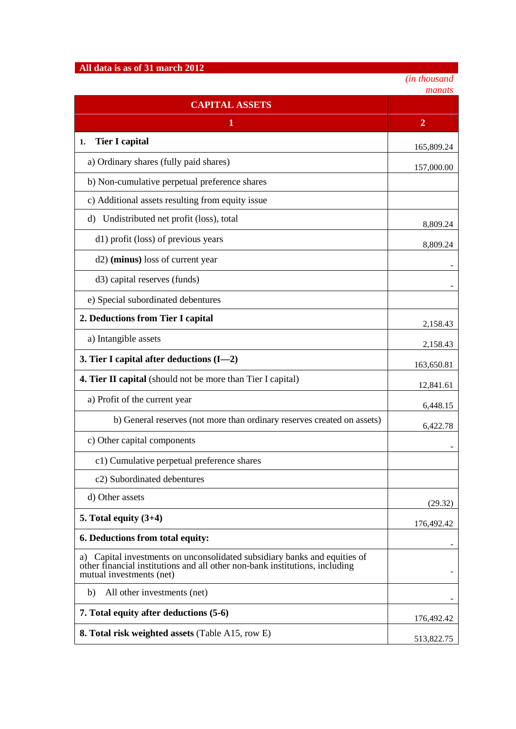## **All data is as of 31 march 2012**

*(in thousand*

|                                                                                                                                                                                         | manats         |
|-----------------------------------------------------------------------------------------------------------------------------------------------------------------------------------------|----------------|
| <b>CAPITAL ASSETS</b>                                                                                                                                                                   |                |
| 1                                                                                                                                                                                       | $\overline{2}$ |
| <b>Tier I capital</b><br>1.                                                                                                                                                             | 165,809.24     |
| a) Ordinary shares (fully paid shares)                                                                                                                                                  | 157,000.00     |
| b) Non-cumulative perpetual preference shares                                                                                                                                           |                |
| c) Additional assets resulting from equity issue                                                                                                                                        |                |
| d) Undistributed net profit (loss), total                                                                                                                                               | 8,809.24       |
| d1) profit (loss) of previous years                                                                                                                                                     | 8,809.24       |
| d2) (minus) loss of current year                                                                                                                                                        |                |
| d3) capital reserves (funds)                                                                                                                                                            |                |
| e) Special subordinated debentures                                                                                                                                                      |                |
| 2. Deductions from Tier I capital                                                                                                                                                       | 2,158.43       |
| a) Intangible assets                                                                                                                                                                    | 2,158.43       |
| 3. Tier I capital after deductions (I-2)                                                                                                                                                | 163,650.81     |
| 4. Tier II capital (should not be more than Tier I capital)                                                                                                                             | 12,841.61      |
| a) Profit of the current year                                                                                                                                                           | 6,448.15       |
| b) General reserves (not more than ordinary reserves created on assets)                                                                                                                 | 6,422.78       |
| c) Other capital components                                                                                                                                                             |                |
| c1) Cumulative perpetual preference shares                                                                                                                                              |                |
| c2) Subordinated debentures                                                                                                                                                             |                |
| d) Other assets                                                                                                                                                                         | (29.32)        |
| 5. Total equity $(3+4)$                                                                                                                                                                 | 176,492.42     |
| 6. Deductions from total equity:                                                                                                                                                        |                |
| Capital investments on unconsolidated subsidiary banks and equities of<br>a)<br>other financial institutions and all other non-bank institutions, including<br>mutual investments (net) |                |
| All other investments (net)<br>b)                                                                                                                                                       |                |
| 7. Total equity after deductions (5-6)                                                                                                                                                  | 176,492.42     |
| <b>8. Total risk weighted assets (Table A15, row E)</b>                                                                                                                                 | 513,822.75     |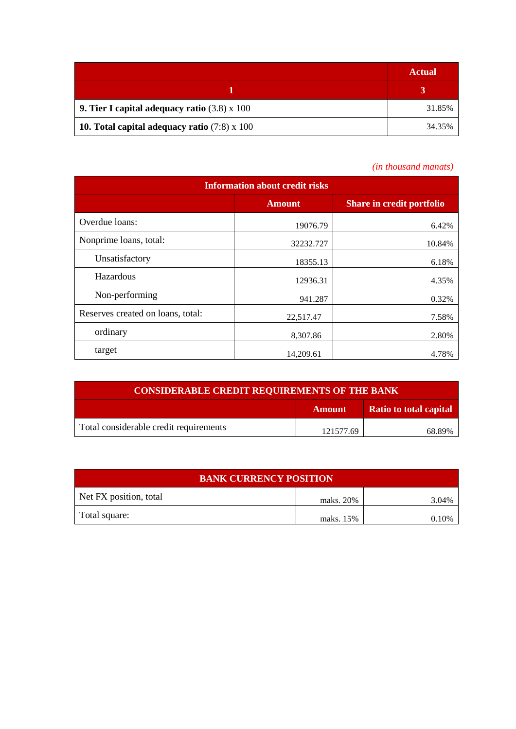|                                                            | <b>Actual</b> |
|------------------------------------------------------------|---------------|
|                                                            |               |
| <b>9. Tier I capital adequacy ratio</b> $(3.8) \times 100$ | 31.85%        |
| 10. Total capital adequacy ratio $(7.8) \times 100$        | 34.35%        |

## *(in thousand manats)*

| <b>Information about credit risks</b> |               |                                  |  |
|---------------------------------------|---------------|----------------------------------|--|
|                                       | <b>Amount</b> | <b>Share in credit portfolio</b> |  |
| Overdue loans:                        | 19076.79      | 6.42%                            |  |
| Nonprime loans, total:                | 32232.727     | 10.84%                           |  |
| Unsatisfactory                        | 18355.13      | 6.18%                            |  |
| Hazardous                             | 12936.31      | 4.35%                            |  |
| Non-performing                        | 941.287       | 0.32%                            |  |
| Reserves created on loans, total:     | 22,517.47     | 7.58%                            |  |
| ordinary                              | 8,307.86      | 2.80%                            |  |
| target                                | 14,209.61     | 4.78%                            |  |

| <b>CONSIDERABLE CREDIT REQUIREMENTS OF THE BANK</b> |               |                        |
|-----------------------------------------------------|---------------|------------------------|
|                                                     | <b>Amount</b> | Ratio to total capital |
| Total considerable credit requirements              | 121577.69     | 68.89%                 |

| <b>BANK CURRENCY POSITION</b> |           |       |  |
|-------------------------------|-----------|-------|--|
| Net FX position, total        | maks. 20% | 3.04% |  |
| Total square:                 | maks. 15% | 10%   |  |